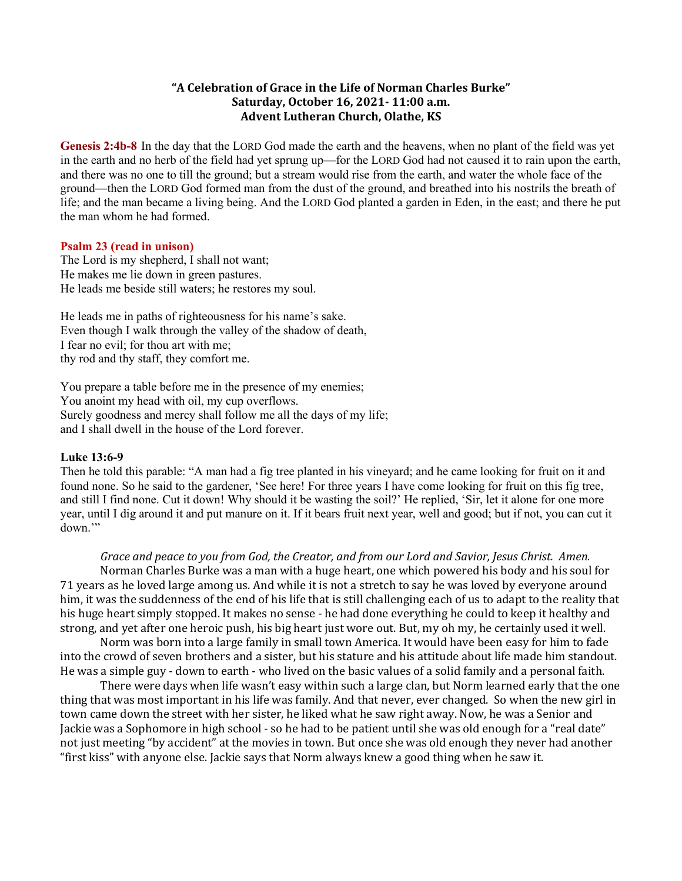## **"A Celebration of Grace in the Life of Norman Charles Burke" Saturday, October 16, 2021- 11:00 a.m. Advent Lutheran Church, Olathe, KS**

**Genesis 2:4b-8** In the day that the LORD God made the earth and the heavens, when no plant of the field was yet in the earth and no herb of the field had yet sprung up—for the LORD God had not caused it to rain upon the earth, and there was no one to till the ground; but a stream would rise from the earth, and water the whole face of the ground—then the LORD God formed man from the dust of the ground, and breathed into his nostrils the breath of life; and the man became a living being. And the LORD God planted a garden in Eden, in the east; and there he put the man whom he had formed.

## **Psalm 23 (read in unison)**

The Lord is my shepherd, I shall not want; He makes me lie down in green pastures. He leads me beside still waters; he restores my soul.

He leads me in paths of righteousness for his name's sake. Even though I walk through the valley of the shadow of death, I fear no evil; for thou art with me; thy rod and thy staff, they comfort me.

You prepare a table before me in the presence of my enemies; You anoint my head with oil, my cup overflows. Surely goodness and mercy shall follow me all the days of my life; and I shall dwell in the house of the Lord forever.

## **Luke 13:6-9**

Then he told this parable: "A man had a fig tree planted in his vineyard; and he came looking for fruit on it and found none. So he said to the gardener, 'See here! For three years I have come looking for fruit on this fig tree, and still I find none. Cut it down! Why should it be wasting the soil?' He replied, 'Sir, let it alone for one more year, until I dig around it and put manure on it. If it bears fruit next year, well and good; but if not, you can cut it down."

Grace and peace to you from God, the Creator, and from our Lord and Savior, Jesus Christ. Amen.

Norman Charles Burke was a man with a huge heart, one which powered his body and his soul for 71 years as he loved large among us. And while it is not a stretch to say he was loved by everyone around him, it was the suddenness of the end of his life that is still challenging each of us to adapt to the reality that his huge heart simply stopped. It makes no sense - he had done everything he could to keep it healthy and strong, and yet after one heroic push, his big heart just wore out. But, my oh my, he certainly used it well.

Norm was born into a large family in small town America. It would have been easy for him to fade into the crowd of seven brothers and a sister, but his stature and his attitude about life made him standout. He was a simple guy - down to earth - who lived on the basic values of a solid family and a personal faith.

There were days when life wasn't easy within such a large clan, but Norm learned early that the one thing that was most important in his life was family. And that never, ever changed. So when the new girl in town came down the street with her sister, he liked what he saw right away. Now, he was a Senior and Jackie was a Sophomore in high school - so he had to be patient until she was old enough for a "real date" not just meeting "by accident" at the movies in town. But once she was old enough they never had another "first kiss" with anyone else. Jackie says that Norm always knew a good thing when he saw it.